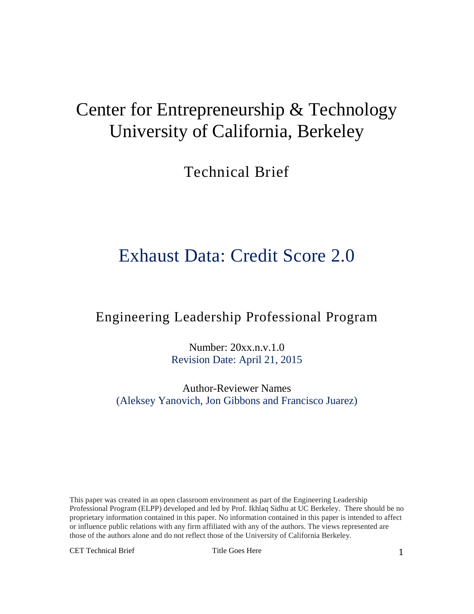# Center for Entrepreneurship & Technology University of California, Berkeley

Technical Brief

# Exhaust Data: Credit Score 2.0

# Engineering Leadership Professional Program

Number: 20xx.n.v.1.0 Revision Date: April 21, 2015

Author-Reviewer Names (Aleksey Yanovich, Jon Gibbons and Francisco Juarez)

This paper was created in an open classroom environment as part of the Engineering Leadership Professional Program (ELPP) developed and led by Prof. Ikhlaq Sidhu at UC Berkeley. There should be no proprietary information contained in this paper. No information contained in this paper is intended to affect or influence public relations with any firm affiliated with any of the authors. The views represented are those of the authors alone and do not reflect those of the University of California Berkeley.

CET Technical Brief Title Goes Here 1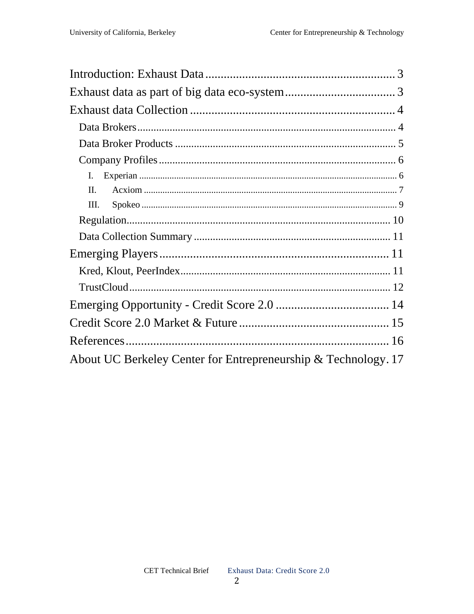| L.                                                             |
|----------------------------------------------------------------|
| $\Pi$ .                                                        |
| III.                                                           |
|                                                                |
|                                                                |
|                                                                |
|                                                                |
|                                                                |
|                                                                |
|                                                                |
|                                                                |
| About UC Berkeley Center for Entrepreneurship & Technology. 17 |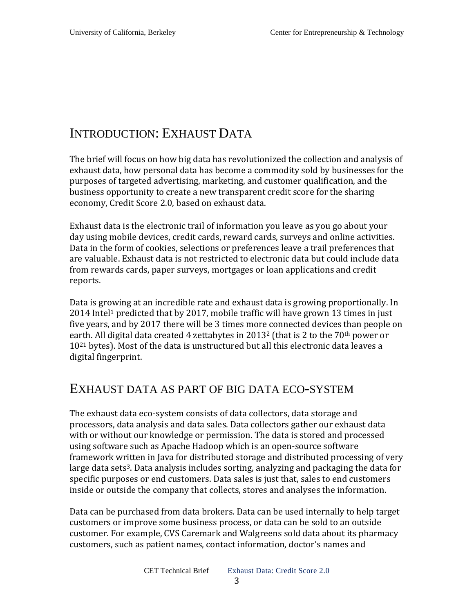# INTRODUCTION: EXHAUST DATA

The brief will focus on how big data has revolutionized the collection and analysis of exhaust data, how personal data has become a commodity sold by businesses for the purposes of targeted advertising, marketing, and customer qualification, and the business opportunity to create a new transparent credit score for the sharing economy, Credit Score 2.0, based on exhaust data.

Exhaust data is the electronic trail of information you leave as you go about your day using mobile devices, credit cards, reward cards, surveys and online activities. Data in the form of cookies, selections or preferences leave a trail preferences that are valuable. Exhaust data is not restricted to electronic data but could include data from rewards cards, paper surveys, mortgages or loan applications and credit reports.

Data is growing at an incredible rate and exhaust data is growing proportionally. In  $2014$  Intel<sup>1</sup> predicted that by 2017, mobile traffic will have grown 13 times in just five years, and by 2017 there will be 3 times more connected devices than people on earth. All digital data created 4 zettabytes in  $2013^2$  (that is 2 to the  $70<sup>th</sup>$  power or 1021 bytes). Most of the data is unstructured but all this electronic data leaves a digital fingerprint.

### EXHAUST DATA AS PART OF BIG DATA ECO-SYSTEM

The exhaust data eco-system consists of data collectors, data storage and processors, data analysis and data sales. Data collectors gather our exhaust data with or without our knowledge or permission. The data is stored and processed using software such as Apache Hadoop which is an open-source software framework written in Java for distributed storage and distributed processing of very large data sets<sup>3</sup>. Data analysis includes sorting, analyzing and packaging the data for specific purposes or end customers. Data sales is just that, sales to end customers inside or outside the company that collects, stores and analyses the information.

Data can be purchased from data brokers. Data can be used internally to help target customers or improve some business process, or data can be sold to an outside customer. For example, CVS Caremark and Walgreens sold data about its pharmacy customers, such as patient names, contact information, doctor's names and

3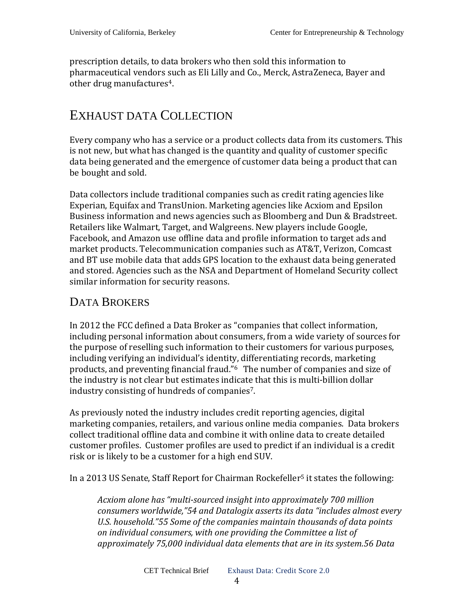prescription details, to data brokers who then sold this information to pharmaceutical vendors such as Eli Lilly and Co., Merck, AstraZeneca, Bayer and other drug manufactures4.

# EXHAUST DATA COLLECTION

Every company who has a service or a product collects data from its customers. This is not new, but what has changed is the quantity and quality of customer specific data being generated and the emergence of customer data being a product that can be bought and sold.

Data collectors include traditional companies such as credit rating agencies like Experian, Equifax and TransUnion. Marketing agencies like Acxiom and Epsilon Business information and news agencies such as Bloomberg and Dun & Bradstreet. Retailers like Walmart, Target, and Walgreens. New players include Google, Facebook, and Amazon use offline data and profile information to target ads and market products. Telecommunication companies such as AT&T, Verizon, Comcast and BT use mobile data that adds GPS location to the exhaust data being generated and stored. Agencies such as the NSA and Department of Homeland Security collect similar information for security reasons.

# DATA BROKERS

In 2012 the FCC defined a Data Broker as "companies that collect information, including personal information about consumers, from a wide variety of sources for the purpose of reselling such information to their customers for various purposes, including verifying an individual's identity, differentiating records, marketing products, and preventing financial fraud."6 The number of companies and size of the industry is not clear but estimates indicate that this is multi-billion dollar industry consisting of hundreds of companies7.

As previously noted the industry includes credit reporting agencies, digital marketing companies, retailers, and various online media companies. Data brokers collect traditional offline data and combine it with online data to create detailed customer profiles. Customer profiles are used to predict if an individual is a credit risk or is likely to be a customer for a high end SUV.

In a 2013 US Senate, Staff Report for Chairman Rockefeller<sup>5</sup> it states the following:

*Acxiom alone has "multi-sourced insight into approximately 700 million consumers worldwide,"54 and Datalogix asserts its data "includes almost every U.S. household."55 Some of the companies maintain thousands of data points on individual consumers, with one providing the Committee a list of approximately 75,000 individual data elements that are in its system.56 Data*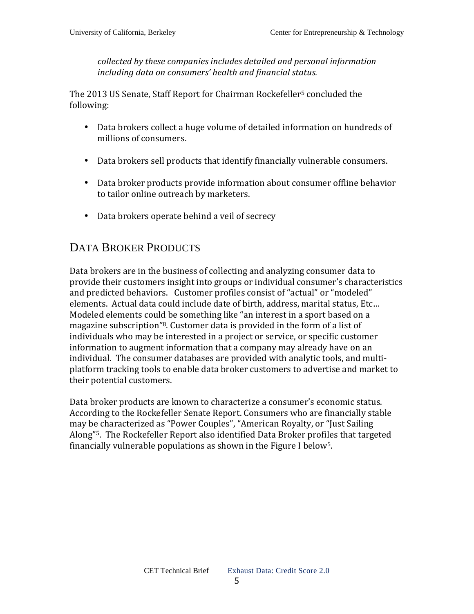*collected by these companies includes detailed and personal information including data on consumers' health and financial status.*

The 2013 US Senate, Staff Report for Chairman Rockefeller<sup>5</sup> concluded the following:

- Data brokers collect a huge volume of detailed information on hundreds of millions of consumers.
- Data brokers sell products that identify financially vulnerable consumers.
- Data broker products provide information about consumer offline behavior to tailor online outreach by marketers.
- Data brokers operate behind a veil of secrecy

### DATA BROKER PRODUCTS

Data brokers are in the business of collecting and analyzing consumer data to provide their customers insight into groups or individual consumer's characteristics and predicted behaviors. Customer profiles consist of "actual" or "modeled" elements. Actual data could include date of birth, address, marital status, Etc… Modeled elements could be something like "an interest in a sport based on a magazine subscription"8. Customer data is provided in the form of a list of individuals who may be interested in a project or service, or specific customer information to augment information that a company may already have on an individual. The consumer databases are provided with analytic tools, and multiplatform tracking tools to enable data broker customers to advertise and market to their potential customers.

Data broker products are known to characterize a consumer's economic status. According to the Rockefeller Senate Report. Consumers who are financially stable may be characterized as "Power Couples", "American Royalty, or "Just Sailing Along"5. The Rockefeller Report also identified Data Broker profiles that targeted financially vulnerable populations as shown in the Figure I below5.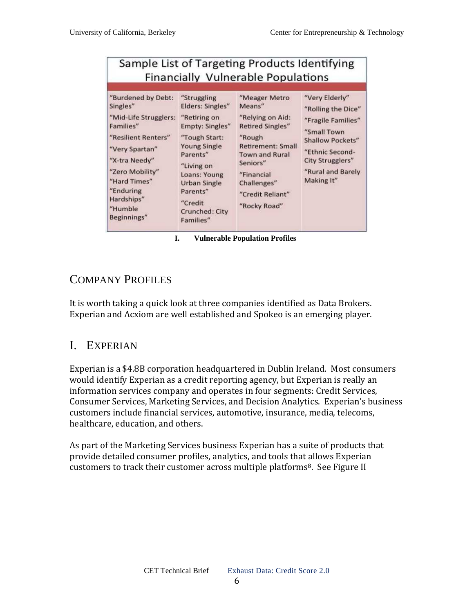# Sample List of Targeting Products Identifying **Financially Vulnerable Populations**

| "Burdened by Debt:                                                                                                                                                                   | "Struggling                                                                                                                                                                                    | "Meager Metro                                                                                                                                                                            | "Very Elderly"                                                                                                                                |
|--------------------------------------------------------------------------------------------------------------------------------------------------------------------------------------|------------------------------------------------------------------------------------------------------------------------------------------------------------------------------------------------|------------------------------------------------------------------------------------------------------------------------------------------------------------------------------------------|-----------------------------------------------------------------------------------------------------------------------------------------------|
| Singles"                                                                                                                                                                             | Elders: Singles"                                                                                                                                                                               | Means"                                                                                                                                                                                   | "Rolling the Dice"                                                                                                                            |
| "Mid-Life Strugglers:<br>Families"<br>"Resilient Renters"<br>"Very Spartan"<br>"X-tra Needy"<br>"Zero Mobility"<br>"Hard Times"<br>"Enduring<br>Hardships"<br>"Humble<br>Beginnings" | "Retiring on<br>Empty: Singles"<br>"Tough Start:<br><b>Young Single</b><br>Parents"<br>"Living on<br>Loans: Young<br><b>Urban Single</b><br>Parents"<br>"Credit<br>Crunched: City<br>Families" | "Relying on Aid:<br><b>Retired Singles"</b><br>"Rough"<br><b>Retirement: Small</b><br><b>Town and Rural</b><br>Seniors"<br>"Financial<br>Challenges"<br>"Credit Reliant"<br>"Rocky Road" | "Fragile Families"<br>"Small Town<br><b>Shallow Pockets"</b><br>"Ethnic Second-<br><b>City Strugglers"</b><br>"Rural and Barely<br>Making It" |

**I. Vulnerable Population Profiles** 

### COMPANY PROFILES

It is worth taking a quick look at three companies identified as Data Brokers. Experian and Acxiom are well established and Spokeo is an emerging player.

### I. EXPERIAN

Experian is a \$4.8B corporation headquartered in Dublin Ireland. Most consumers would identify Experian as a credit reporting agency, but Experian is really an information services company and operates in four segments: Credit Services, Consumer Services, Marketing Services, and Decision Analytics. Experian's business customers include financial services, automotive, insurance, media, telecoms, healthcare, education, and others.

As part of the Marketing Services business Experian has a suite of products that provide detailed consumer profiles, analytics, and tools that allows Experian customers to track their customer across multiple platforms<sup>8</sup>. See Figure II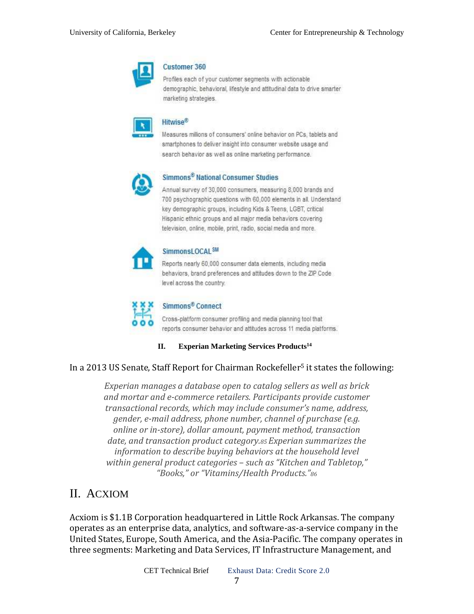

#### **Customer 360**

Profiles each of your customer segments with actionable demographic, behavioral, lifestyle and attitudinal data to drive smarter marketing strategies.

|  | $\overline{1}$ |
|--|----------------|
|  |                |

#### Hitwise<sup>®</sup>

Measures millions of consumers' online behavior on PCs, tablets and smartphones to deliver insight into consumer website usage and search behavior as well as online marketing performance.



### Simmons<sup>®</sup> National Consumer Studies

Annual survey of 30,000 consumers, measuring 8,000 brands and 700 psychographic questions with 60,000 elements in all. Understand key demographic groups, including Kids & Teens, LGBT, critical Hispanic ethnic groups and all major media behaviors covering television, online, mobile, print, radio, social media and more.



#### SimmonsLOCAL<sup>SM</sup>

Reports nearly 60,000 consumer data elements, including media behaviors, brand preferences and attitudes down to the ZIP Code level across the country.



### Simmons<sup>®</sup> Connect

Cross-platform consumer profiling and media planning tool that reports consumer behavior and attitudes across 11 media platforms.

**II. Experian Marketing Services Products<sup>14</sup>**

### In a 2013 US Senate, Staff Report for Chairman Rockefeller<sup>5</sup> it states the following:

*Experian manages a database open to catalog sellers as well as brick and mortar and e-commerce retailers. Participants provide customer transactional records, which may include consumer's name, address, gender, e-mail address, phone number, channel of purchase (e.g. online or in-store), dollar amount, payment method, transaction date, and transaction product category.85 Experian summarizes the information to describe buying behaviors at the household level within general product categories – such as "Kitchen and Tabletop," "Books," or "Vitamins/Health Products."<sup>86</sup>*

### II. ACXIOM

Acxiom is \$1.1B Corporation headquartered in Little Rock Arkansas. The company operates as an enterprise data, analytics, and software-as-a-service company in the United States, Europe, South America, and the Asia-Pacific. The company operates in three segments: Marketing and Data Services, IT Infrastructure Management, and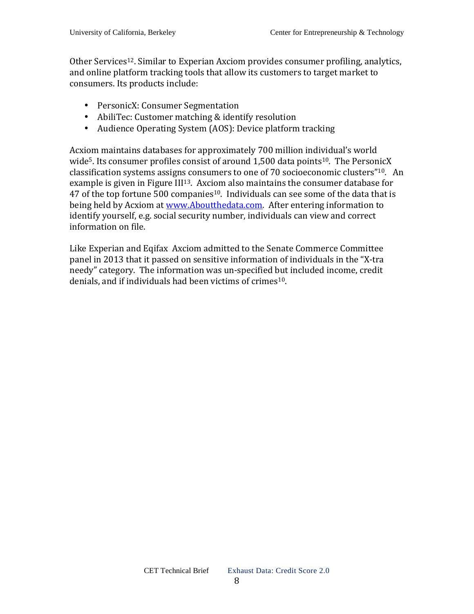Other Services12. Similar to Experian Axciom provides consumer profiling, analytics, and online platform tracking tools that allow its customers to target market to consumers. Its products include:

- PersonicX: Consumer Segmentation
- AbiliTec: Customer matching & identify resolution
- Audience Operating System (AOS): Device platform tracking

Acxiom maintains databases for approximately 700 million individual's world wide<sup>5</sup>. Its consumer profiles consist of around 1,500 data points<sup>10</sup>. The PersonicX classification systems assigns consumers to one of 70 socioeconomic clusters"10. An example is given in Figure III<sup>13</sup>. Axciom also maintains the consumer database for 47 of the top fortune 500 companies<sup>10</sup>. Individuals can see some of the data that is being held by Acxiom at www.Aboutthedata.com. After entering information to identify yourself, e.g. social security number, individuals can view and correct information on file.

Like Experian and Eqifax Axciom admitted to the Senate Commerce Committee panel in 2013 that it passed on sensitive information of individuals in the "X-tra needy" category. The information was un-specified but included income, credit denials, and if individuals had been victims of crimes<sup>10</sup>.

8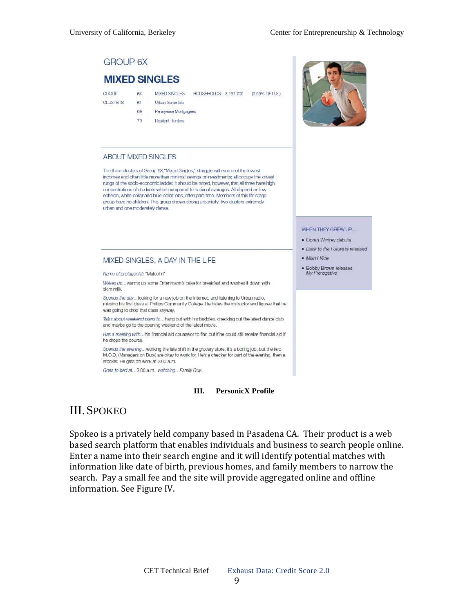### **GROUP 6X**

### **MIXED SINGLES RX**

61

69

 $70^{\circ}$ 

GROUP **CLUSTERS**  MIXED SINGLES HOUSEHOUDS: 3.151.700 (2.55% OEU.S.) Urban Scramble

Pennywise Mortgagees

**Resilient Renters** 

#### **ABOUT MIXED SINGLES**

The three clusters of Group 6X, "Mixed Singles," struggle with some of the lowest incomes and often little more than minimal savings or investments; all occupy the lowest rungs of the socio-economic ladder. It should be noted, however, that all three have high concentrations of students when compared to national averages. All depend on low echelon, white-collar and blue-collar jobs, often part-time. Members of this life stage group have no children. This group shows strong urbanicity, two clusters extremely urban and one moderately dense.

#### WHEN THEY GREW UP...

- · Oprah Winfrey debuts
- · Back to the Future is released
- · Miami Vice
- Bobby Brown releases<br>My Prerogative

#### MIXED SINGLES, A DAY IN THE LIFE

Name of profagonist: "Malcolm"

Wakes up... warms up some Entenmann's cake for breakfast and washes it down with skim milk

Spends the day... looking for a new job on the Internet, and listening to Urban radio. missing his first class at Phillips Community College. He hates the instructor and figures that he was going to drop that class anyway.

Talks about weekend plans to... hang out with his buddies, checking out the latest dance club and maybe go to the opening weekend of the latest movie.

Has a meeting with...his financial aid counselor to find out if he could still receive financial aid if he drops the course.

Spends the evening... working the late shift in the grocery store. It's a boring job, but the two M.O.D. (Managers on Duty) are okay to work for. He's a checker for part of the evening, then a stocker. He gets off work at 2:00 a.m.

Goes to bed at...3:00 a.m., watching...Family Guy.

#### **III. PersonicX Profile**

### III.SPOKEO

Spokeo is a privately held company based in Pasadena CA. Their product is a web based search platform that enables individuals and business to search people online. Enter a name into their search engine and it will identify potential matches with information like date of birth, previous homes, and family members to narrow the search. Pay a small fee and the site will provide aggregated online and offline information. See Figure IV.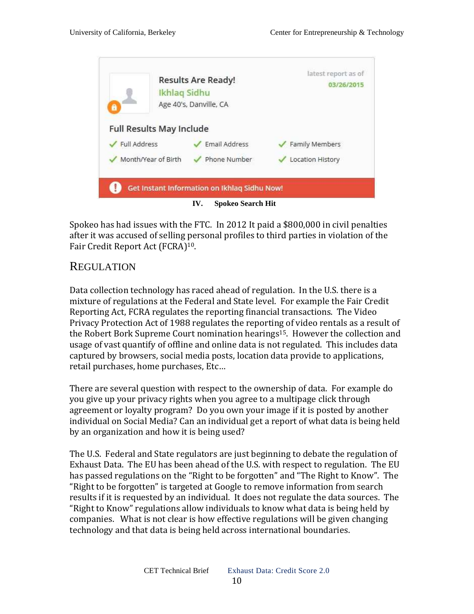

Spokeo has had issues with the FTC. In 2012 It paid a \$800,000 in civil penalties after it was accused of selling personal profiles to third parties in violation of the Fair Credit Report Act (FCRA)10.

### REGULATION

Data collection technology has raced ahead of regulation. In the U.S. there is a mixture of regulations at the Federal and State level. For example the Fair Credit Reporting Act, FCRA regulates the reporting financial transactions. The Video Privacy Protection Act of 1988 regulates the reporting of video rentals as a result of the Robert Bork Supreme Court nomination hearings<sup>15</sup>. However the collection and usage of vast quantify of offline and online data is not regulated. This includes data captured by browsers, social media posts, location data provide to applications, retail purchases, home purchases, Etc…

There are several question with respect to the ownership of data. For example do you give up your privacy rights when you agree to a multipage click through agreement or loyalty program? Do you own your image if it is posted by another individual on Social Media? Can an individual get a report of what data is being held by an organization and how it is being used?

The U.S. Federal and State regulators are just beginning to debate the regulation of Exhaust Data. The EU has been ahead of the U.S. with respect to regulation. The EU has passed regulations on the "Right to be forgotten" and "The Right to Know". The "Right to be forgotten" is targeted at Google to remove information from search results if it is requested by an individual. It does not regulate the data sources. The "Right to Know" regulations allow individuals to know what data is being held by companies. What is not clear is how effective regulations will be given changing technology and that data is being held across international boundaries.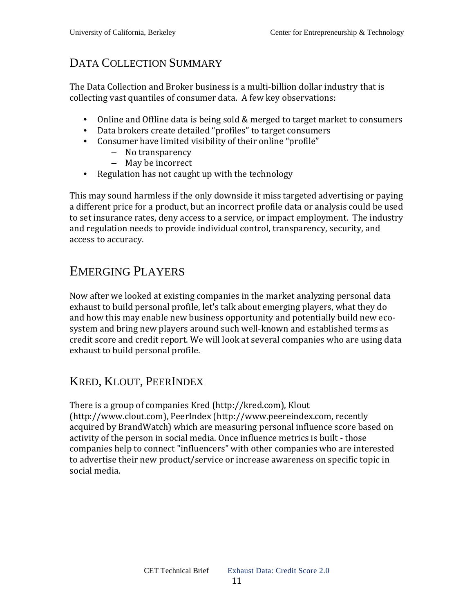# DATA COLLECTION SUMMARY

The Data Collection and Broker business is a multi-billion dollar industry that is collecting vast quantiles of consumer data. A few key observations:

- Online and Offline data is being sold & merged to target market to consumers
- Data brokers create detailed "profiles" to target consumers
- Consumer have limited visibility of their online "profile"
	- No transparency
	- May be incorrect
- Regulation has not caught up with the technology

This may sound harmless if the only downside it miss targeted advertising or paying a different price for a product, but an incorrect profile data or analysis could be used to set insurance rates, deny access to a service, or impact employment. The industry and regulation needs to provide individual control, transparency, security, and access to accuracy.

# EMERGING PLAYERS

Now after we looked at existing companies in the market analyzing personal data exhaust to build personal profile, let's talk about emerging players, what they do and how this may enable new business opportunity and potentially build new ecosystem and bring new players around such well-known and established terms as credit score and credit report. We will look at several companies who are using data exhaust to build personal profile.

## KRED, KLOUT, PEERINDEX

There is a group of companies Kred (http://kred.com), Klout (http://www.clout.com), PeerIndex (http://www.peereindex.com, recently acquired by BrandWatch) which are measuring personal influence score based on activity of the person in social media. Once influence metrics is built - those companies help to connect "influencers" with other companies who are interested to advertise their new product/service or increase awareness on specific topic in social media.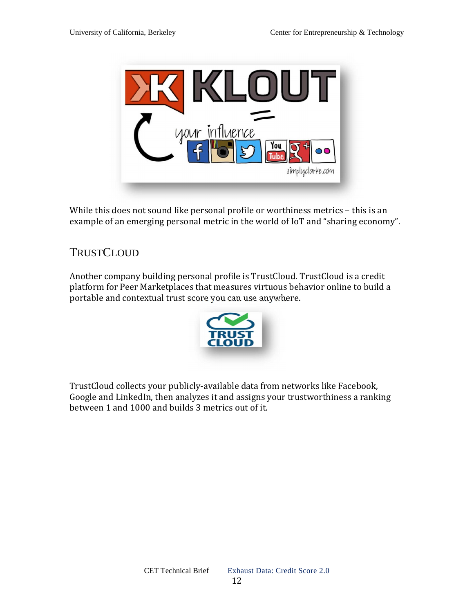

While this does not sound like personal profile or worthiness metrics - this is an example of an emerging personal metric in the world of IoT and "sharing economy".

# **TRUSTCLOUD**

Another company building personal profile is TrustCloud. TrustCloud is a credit platform for Peer Marketplaces that measures virtuous behavior online to build a portable and contextual trust score you can use anywhere.



TrustCloud collects your publicly-available data from networks like Facebook, Google and LinkedIn, then analyzes it and assigns your trustworthiness a ranking between 1 and 1000 and builds 3 metrics out of it.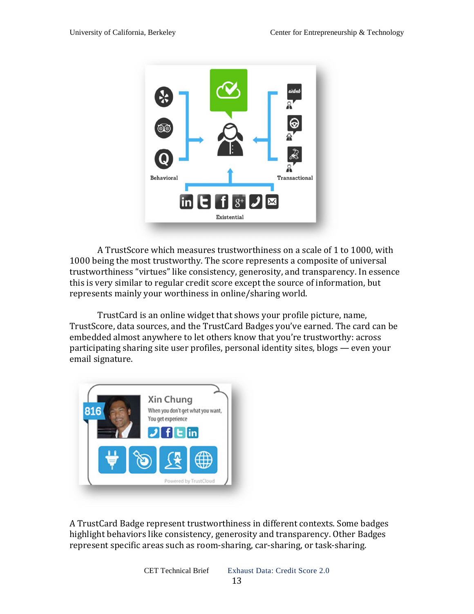

 A TrustScore which measures trustworthiness on a scale of 1 to 1000, with 1000 being the most trustworthy. The score represents a composite of universal trustworthiness "virtues" like consistency, generosity, and transparency. In essence this is very similar to regular credit score except the source of information, but represents mainly your worthiness in online/sharing world.

 TrustCard is an online widget that shows your profile picture, name, TrustScore, data sources, and the TrustCard Badges you've earned. The card can be embedded almost anywhere to let others know that you're trustworthy: across participating sharing site user profiles, personal identity sites, blogs — even your email signature.



A TrustCard Badge represent trustworthiness in different contexts. Some badges highlight behaviors like consistency, generosity and transparency. Other Badges represent specific areas such as room-sharing, car-sharing, or task-sharing.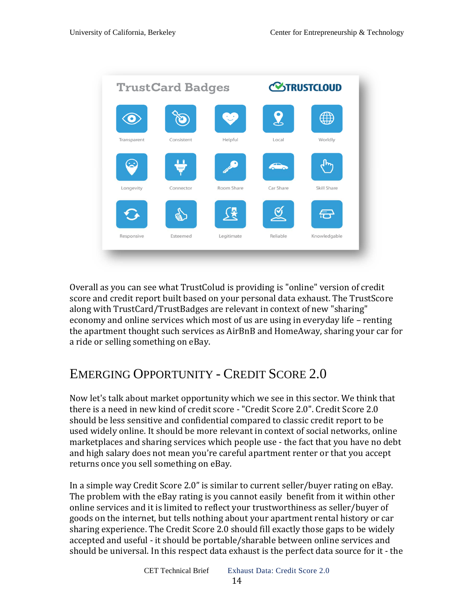

Overall as you can see what TrustColud is providing is "online" version of credit score and credit report built based on your personal data exhaust. The TrustScore along with TrustCard/TrustBadges are relevant in context of new "sharing" economy and online services which most of us are using in everyday life – renting the apartment thought such services as AirBnB and HomeAway, sharing your car for a ride or selling something on eBay.

# EMERGING OPPORTUNITY - CREDIT SCORE 2.0

Now let's talk about market opportunity which we see in this sector. We think that there is a need in new kind of credit score - "Credit Score 2.0". Credit Score 2.0 should be less sensitive and confidential compared to classic credit report to be used widely online. It should be more relevant in context of social networks, online marketplaces and sharing services which people use - the fact that you have no debt and high salary does not mean you're careful apartment renter or that you accept returns once you sell something on eBay.

In a simple way Credit Score 2.0" is similar to current seller/buyer rating on eBay. The problem with the eBay rating is you cannot easily benefit from it within other online services and it is limited to reflect your trustworthiness as seller/buyer of goods on the internet, but tells nothing about your apartment rental history or car sharing experience. The Credit Score 2.0 should fill exactly those gaps to be widely accepted and useful - it should be portable/sharable between online services and should be universal. In this respect data exhaust is the perfect data source for it - the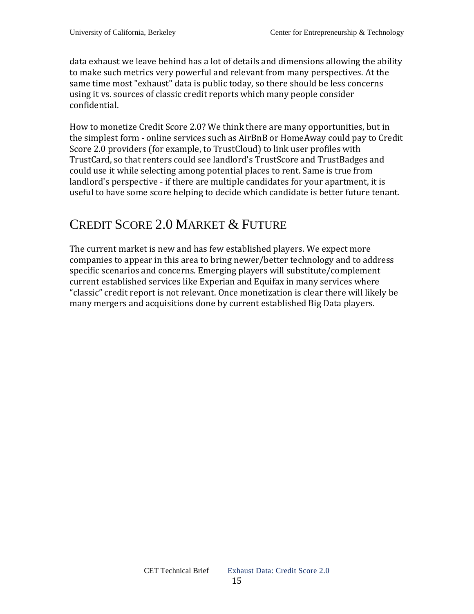data exhaust we leave behind has a lot of details and dimensions allowing the ability to make such metrics very powerful and relevant from many perspectives. At the same time most "exhaust" data is public today, so there should be less concerns using it vs. sources of classic credit reports which many people consider confidential.

How to monetize Credit Score 2.0? We think there are many opportunities, but in the simplest form - online services such as AirBnB or HomeAway could pay to Credit Score 2.0 providers (for example, to TrustCloud) to link user profiles with TrustCard, so that renters could see landlord's TrustScore and TrustBadges and could use it while selecting among potential places to rent. Same is true from landlord's perspective - if there are multiple candidates for your apartment, it is useful to have some score helping to decide which candidate is better future tenant.

# CREDIT SCORE 2.0 MARKET & FUTURE

The current market is new and has few established players. We expect more companies to appear in this area to bring newer/better technology and to address specific scenarios and concerns. Emerging players will substitute/complement current established services like Experian and Equifax in many services where "classic" credit report is not relevant. Once monetization is clear there will likely be many mergers and acquisitions done by current established Big Data players.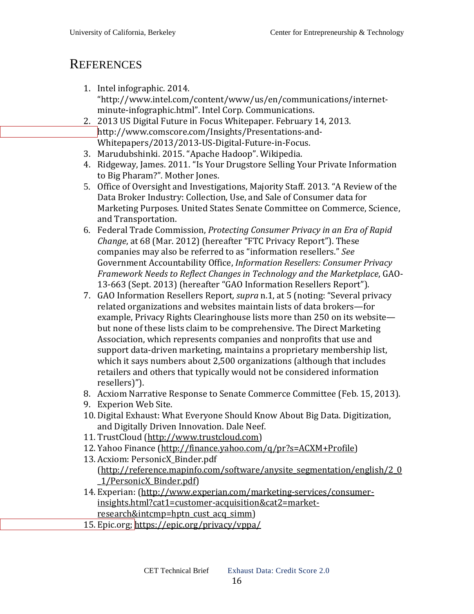# **REFERENCES**

- 1. Intel infographic. 2014. "http://www.intel.com/content/www/us/en/communications/internetminute-infographic.html". Intel Corp. Communications.
- 2. 2013 US Digital Future in Focus Whitepaper. February 14, 2013. [h](http://www.comscore.com/Insights/Presentations-and-)ttp://www.comscore.com/Insights/Presentations-and-Whitepapers/2013/2013-US-Digital-Future-in-Focus.
- 3. Marudubshinki. 2015. "Apache Hadoop". Wikipedia.
- 4. Ridgeway, James. 2011. "Is Your Drugstore Selling Your Private Information to Big Pharam?". Mother Jones.
- 5. Office of Oversight and Investigations, Majority Staff. 2013. "A Review of the Data Broker Industry: Collection, Use, and Sale of Consumer data for Marketing Purposes. United States Senate Committee on Commerce, Science, and Transportation.
- 6. Federal Trade Commission, *Protecting Consumer Privacy in an Era of Rapid Change*, at 68 (Mar. 2012) (hereafter "FTC Privacy Report"). These companies may also be referred to as "information resellers." *See*  Government Accountability Office, *Information Resellers: Consumer Privacy Framework Needs to Reflect Changes in Technology and the Marketplace*, GAO-13-663 (Sept. 2013) (hereafter "GAO Information Resellers Report").
- 7. GAO Information Resellers Report*, supra* n.1, at 5 (noting: "Several privacy related organizations and websites maintain lists of data brokers—for example, Privacy Rights Clearinghouse lists more than 250 on its website but none of these lists claim to be comprehensive. The Direct Marketing Association, which represents companies and nonprofits that use and support data-driven marketing, maintains a proprietary membership list, which it says numbers about 2,500 organizations (although that includes retailers and others that typically would not be considered information resellers)").
- 8. Acxiom Narrative Response to Senate Commerce Committee (Feb. 15, 2013).
- 9. Experion Web Site.
- 10. Digital Exhaust: What Everyone Should Know About Big Data. Digitization, and Digitally Driven Innovation. Dale Neef.
- 11. TrustCloud (http://www.trustcloud.com)
- 12. Yahoo Finance (http://finance.yahoo.com/q/pr?s=ACXM+Profile)
- 13. Acxiom: PersonicX\_Binder.pdf (http://reference.mapinfo.com/software/anysite\_segmentation/english/2\_0 \_1/PersonicX\_Binder.pdf)
- 14. Experian: (http://www.experian.com/marketing-services/consumerinsights.html?cat1=customer-acquisition&cat2=marketresearch&intcmp=hptn\_cust\_acq\_simm)
- 15. [Epic.org; h](https://epic.org/privacy/vppa/)ttps://epic.org/privacy/vppa/